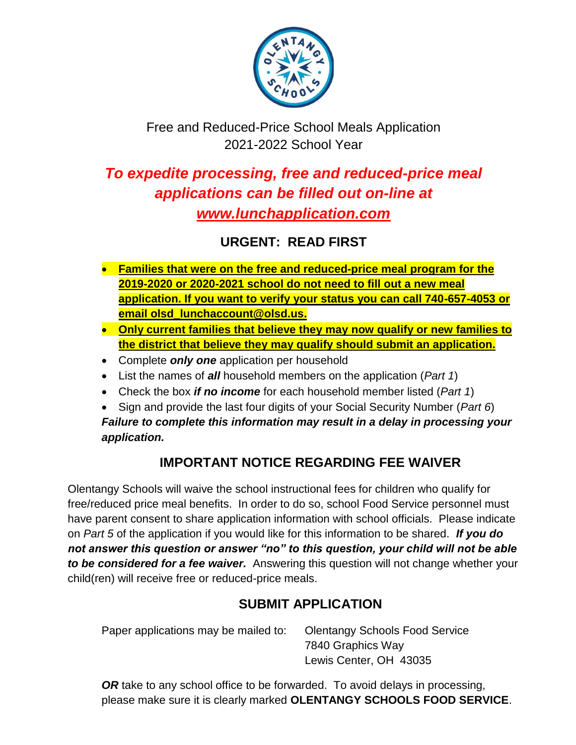

# Free and Reduced-Price School Meals Application 2021-2022 School Year

# *To expedite processing, free and reduced-price meal applications can be filled out on-line at www.lunchapplication.com*

# **URGENT: READ FIRST**

- **Families that were on the free and reduced-price meal program for the 2019-2020 or 2020-2021 school do not need to fill out a new meal application. If you want to verify your status you can call 740-657-4053 or email olsd\_lunchaccount@olsd.us.**
- **Only current families that believe they may now qualify or new families to the district that believe they may qualify should submit an application.**
- Complete *only one* application per household
- List the names of *all* household members on the application (*Part 1*)
- Check the box *if no income* for each household member listed (*Part 1*)
- Sign and provide the last four digits of your Social Security Number (*Part 6*) *Failure to complete this information may result in a delay in processing your application.*

# **IMPORTANT NOTICE REGARDING FEE WAIVER**

Olentangy Schools will waive the school instructional fees for children who qualify for free/reduced price meal benefits. In order to do so, school Food Service personnel must have parent consent to share application information with school officials. Please indicate on *Part 5* of the application if you would like for this information to be shared. *If you do not answer this question or answer "no" to this question, your child will not be able to be considered for a fee waiver.* Answering this question will not change whether your child(ren) will receive free or reduced-price meals.

# **SUBMIT APPLICATION**

| Paper applications may be mailed to: | <b>Olentangy Schools Food Service</b> |
|--------------------------------------|---------------------------------------|
|                                      | 7840 Graphics Way                     |
|                                      | Lewis Center, OH 43035                |

**OR** take to any school office to be forwarded. To avoid delays in processing, please make sure it is clearly marked **OLENTANGY SCHOOLS FOOD SERVICE**.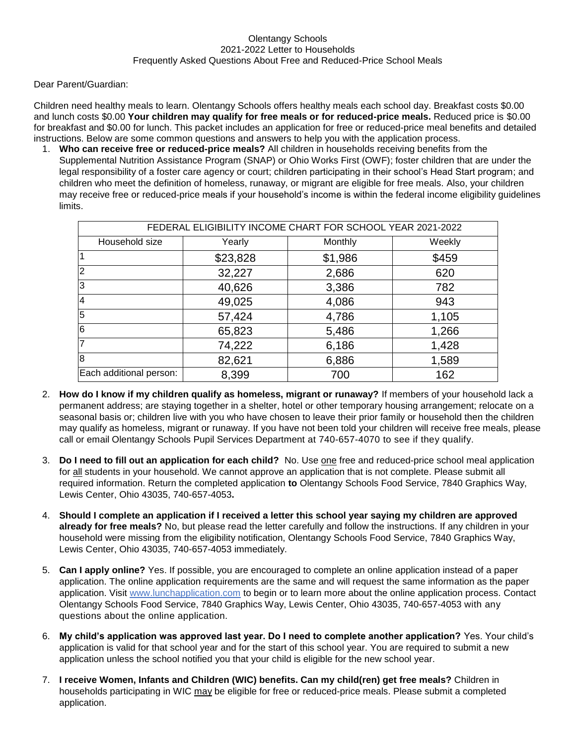### Olentangy Schools 2021-2022 Letter to Households Frequently Asked Questions About Free and Reduced-Price School Meals

Dear Parent/Guardian:

Children need healthy meals to learn. Olentangy Schools offers healthy meals each school day. Breakfast costs \$0.00 and lunch costs \$0.00 **Your children may qualify for free meals or for reduced-price meals.** Reduced price is \$0.00 for breakfast and \$0.00 for lunch. This packet includes an application for free or reduced-price meal benefits and detailed instructions. Below are some common questions and answers to help you with the application process.

1. **Who can receive free or reduced-price meals?** All children in households receiving benefits from the Supplemental Nutrition Assistance Program (SNAP) or Ohio Works First (OWF); foster children that are under the legal responsibility of a foster care agency or court; children participating in their school's Head Start program; and children who meet the definition of homeless, runaway, or migrant are eligible for free meals. Also, your children may receive free or reduced-price meals if your household's income is within the federal income eligibility guidelines limits.

| FEDERAL ELIGIBILITY INCOME CHART FOR SCHOOL YEAR 2021-2022 |          |         |        |  |  |  |  |  |  |
|------------------------------------------------------------|----------|---------|--------|--|--|--|--|--|--|
| Household size                                             | Yearly   | Monthly | Weekly |  |  |  |  |  |  |
|                                                            | \$23,828 | \$1,986 | \$459  |  |  |  |  |  |  |
| $\overline{2}$                                             | 32,227   | 2,686   | 620    |  |  |  |  |  |  |
| 3                                                          | 40,626   | 3,386   | 782    |  |  |  |  |  |  |
| $\overline{4}$                                             | 49,025   | 4,086   | 943    |  |  |  |  |  |  |
| $\overline{5}$                                             | 57,424   | 4,786   | 1,105  |  |  |  |  |  |  |
| 6                                                          | 65,823   | 5,486   | 1,266  |  |  |  |  |  |  |
| 7                                                          | 74,222   | 6,186   | 1,428  |  |  |  |  |  |  |
| 8                                                          | 82,621   | 6,886   | 1,589  |  |  |  |  |  |  |
| Each additional person:                                    | 8,399    | 700     | 162    |  |  |  |  |  |  |

- 2. **How do I know if my children qualify as homeless, migrant or runaway?** If members of your household lack a permanent address; are staying together in a shelter, hotel or other temporary housing arrangement; relocate on a seasonal basis or; children live with you who have chosen to leave their prior family or household then the children may qualify as homeless, migrant or runaway. If you have not been told your children will receive free meals, please call or email Olentangy Schools Pupil Services Department at 740-657-4070 to see if they qualify.
- 3. **Do I need to fill out an application for each child?** No. Use one free and reduced-price school meal application for all students in your household. We cannot approve an application that is not complete. Please submit all required information. Return the completed application **to** Olentangy Schools Food Service, 7840 Graphics Way, Lewis Center, Ohio 43035, 740-657-4053**.**
- 4. **Should I complete an application if I received a letter this school year saying my children are approved already for free meals?** No, but please read the letter carefully and follow the instructions. If any children in your household were missing from the eligibility notification, Olentangy Schools Food Service, 7840 Graphics Way, Lewis Center, Ohio 43035, 740-657-4053 immediately.
- 5. **Can I apply online?** Yes. If possible, you are encouraged to complete an online application instead of a paper application. The online application requirements are the same and will request the same information as the paper application. Visit [www.lunchapplication.com](http://www.lunchapplication.com/) to begin or to learn more about the online application process. Contact Olentangy Schools Food Service, 7840 Graphics Way, Lewis Center, Ohio 43035, 740-657-4053 with any questions about the online application.
- 6. **My child's application was approved last year. Do I need to complete another application?** Yes. Your child's application is valid for that school year and for the start of this school year. You are required to submit a new application unless the school notified you that your child is eligible for the new school year.
- 7. **I receive Women, Infants and Children (WIC) benefits. Can my child(ren) get free meals?** Children in households participating in WIC may be eligible for free or reduced-price meals. Please submit a completed application.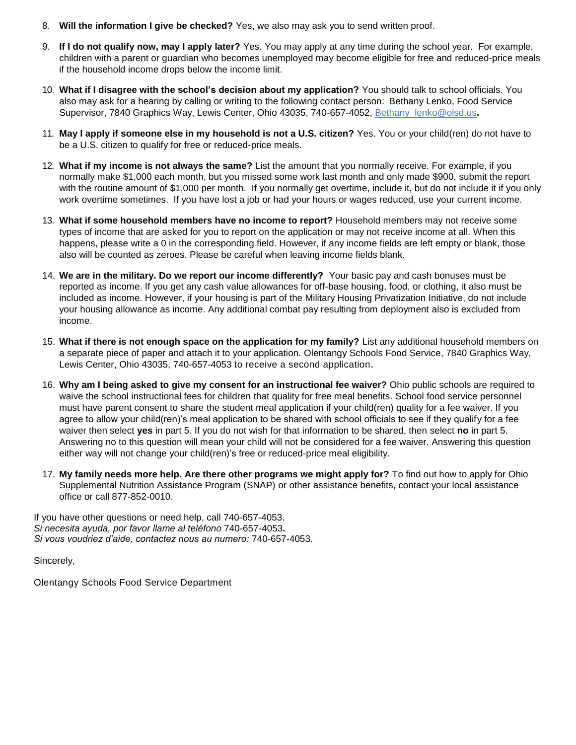- 8. **Will the information I give be checked?** Yes, we also may ask you to send written proof.
- 9. **If I do not qualify now, may I apply later?** Yes. You may apply at any time during the school year. For example, children with a parent or guardian who becomes unemployed may become eligible for free and reduced-price meals if the household income drops below the income limit.
- 10. **What if I disagree with the school's decision about my application?** You should talk to school officials. You also may ask for a hearing by calling or writing to the following contact person: Bethany Lenko, Food Service Supervisor, 7840 Graphics Way, Lewis Center, Ohio 43035, 740-657-4052, [Bethany\\_lenko@olsd.us](mailto:Bethany_lenko@olsd.us)**.**
- 11. **May I apply if someone else in my household is not a U.S. citizen?** Yes. You or your child(ren) do not have to be a U.S. citizen to qualify for free or reduced-price meals.
- 12. **What if my income is not always the same?** List the amount that you normally receive. For example, if you normally make \$1,000 each month, but you missed some work last month and only made \$900, submit the report with the routine amount of \$1,000 per month. If you normally get overtime, include it, but do not include it if you only work overtime sometimes. If you have lost a job or had your hours or wages reduced, use your current income.
- 13. **What if some household members have no income to report?** Household members may not receive some types of income that are asked for you to report on the application or may not receive income at all. When this happens, please write a 0 in the corresponding field. However, if any income fields are left empty or blank, those also will be counted as zeroes. Please be careful when leaving income fields blank.
- 14. **We are in the military. Do we report our income differently?** Your basic pay and cash bonuses must be reported as income. If you get any cash value allowances for off-base housing, food, or clothing, it also must be included as income. However, if your housing is part of the Military Housing Privatization Initiative, do not include your housing allowance as income. Any additional combat pay resulting from deployment also is excluded from income.
- 15. **What if there is not enough space on the application for my family?** List any additional household members on a separate piece of paper and attach it to your application. Olentangy Schools Food Service, 7840 Graphics Way, Lewis Center, Ohio 43035, 740-657-4053 to receive a second application**.**
- 16. **Why am I being asked to give my consent for an instructional fee waiver?** Ohio public schools are required to waive the school instructional fees for children that quality for free meal benefits. School food service personnel must have parent consent to share the student meal application if your child(ren) quality for a fee waiver. If you agree to allow your child(ren)'s meal application to be shared with school officials to see if they qualify for a fee waiver then select **yes** in part 5. If you do not wish for that information to be shared, then select **no** in part 5. Answering no to this question will mean your child will not be considered for a fee waiver. Answering this question either way will not change your child(ren)'s free or reduced-price meal eligibility.
- 17. **My family needs more help. Are there other programs we might apply for?** To find out how to apply for Ohio Supplemental Nutrition Assistance Program (SNAP) or other assistance benefits, contact your local assistance office or call 877-852-0010.

If you have other questions or need help, call 740-657-4053. *Si necesita ayuda, por favor llame al teléfono* 740-657-4053**.** *Si vous voudriez d'aide, contactez nous au numero:* 740-657-4053.

Sincerely,

Olentangy Schools Food Service Department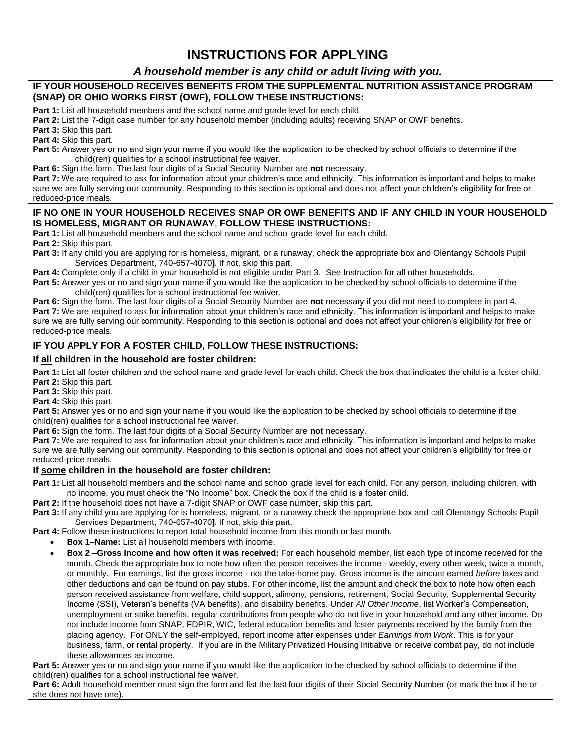## **INSTRUCTIONS FOR APPLYING**

### *A household member is any child or adult living with you.*

### **IF YOUR HOUSEHOLD RECEIVES BENEFITS FROM THE SUPPLEMENTAL NUTRITION ASSISTANCE PROGRAM (SNAP) OR OHIO WORKS FIRST (OWF), FOLLOW THESE INSTRUCTIONS:**

**Part 1:** List all household members and the school name and grade level for each child.

**Part 2:** List the 7-digit case number for any household member (including adults) receiving SNAP or OWF benefits.

**Part 3:** Skip this part.

**Part 4:** Skip this part.

**Part 5:** Answer yes or no and sign your name if you would like the application to be checked by school officials to determine if the child(ren) qualifies for a school instructional fee waiver.

**Part 6:** Sign the form. The last four digits of a Social Security Number are **not** necessary.

**Part 7:** We are required to ask for information about your children's race and ethnicity. This information is important and helps to make sure we are fully serving our community. Responding to this section is optional and does not affect your children's eligibility for free or reduced-price meals.

### **IF NO ONE IN YOUR HOUSEHOLD RECEIVES SNAP OR OWF BENEFITS AND IF ANY CHILD IN YOUR HOUSEHOLD IS HOMELESS, MIGRANT OR RUNAWAY, FOLLOW THESE INSTRUCTIONS:**

**Part 1:** List all household members and the school name and school grade level for each child.

**Part 2:** Skip this part.

**Part 3:** If any child you are applying for is homeless, migrant, or a runaway, check the appropriate box and Olentangy Schools Pupil Services Department, 740-657-4070**].** If not, skip this part.

**Part 4:** Complete only if a child in your household is not eligible under Part 3. See Instruction for all other households.

**Part 5:** Answer yes or no and sign your name if you would like the application to be checked by school officials to determine if the child(ren) qualifies for a school instructional fee waiver.

**Part 6:** Sign the form. The last four digits of a Social Security Number are **not** necessary if you did not need to complete in part 4. Part 7: We are required to ask for information about your children's race and ethnicity. This information is important and helps to make sure we are fully serving our community. Responding to this section is optional and does not affect your children's eligibility for free or reduced-price meals.

### **IF YOU APPLY FOR A FOSTER CHILD, FOLLOW THESE INSTRUCTIONS:**

### **If all children in the household are foster children:**

Part 1: List all foster children and the school name and grade level for each child. Check the box that indicates the child is a foster child. **Part 2:** Skip this part.

**Part 3:** Skip this part.

**Part 4:** Skip this part.

**Part 5:** Answer yes or no and sign your name if you would like the application to be checked by school officials to determine if the child(ren) qualifies for a school instructional fee waiver.

**Part 6:** Sign the form. The last four digits of a Social Security Number are **not** necessary.

Part 7: We are required to ask for information about your children's race and ethnicity. This information is important and helps to make sure we are fully serving our community. Responding to this section is optional and does not affect your children's eligibility for free or reduced-price meals.

### **If some children in the household are foster children:**

**Part 1:** List all household members and the school name and school grade level for each child. For any person, including children, with no income, you must check the "No Income" box. Check the box if the child is a foster child.

**Part 2:** If the household does not have a 7-digit SNAP or OWF case number, skip this part.

**Part 3:** If any child you are applying for is homeless, migrant, or a runaway check the appropriate box and call Olentangy Schools Pupil Services Department, 740-657-4070**].** If not, skip this part.

**Part 4:** Follow these instructions to report total household income from this month or last month.

- **Box 1–Name:** List all household members with income.
- **Box 2** –**Gross Income and how often it was received:** For each household member, list each type of income received for the month. Check the appropriate box to note how often the person receives the income - weekly, every other week, twice a month, or monthly. For earnings, list the gross income - not the take-home pay. Gross income is the amount earned *before* taxes and other deductions and can be found on pay stubs. For other income, list the amount and check the box to note how often each person received assistance from welfare, child support, alimony, pensions, retirement, Social Security, Supplemental Security Income (SSI), Veteran's benefits (VA benefits), and disability benefits. Under *All Other Income*, list Worker's Compensation, unemployment or strike benefits, regular contributions from people who do not live in your household and any other income. Do not include income from SNAP, FDPIR, WIC, federal education benefits and foster payments received by the family from the placing agency. For ONLY the self-employed, report income after expenses under *Earnings from Work*. This is for your business, farm, or rental property. If you are in the Military Privatized Housing Initiative or receive combat pay, do not include these allowances as income.

**Part 5:** Answer yes or no and sign your name if you would like the application to be checked by school officials to determine if the child(ren) qualifies for a school instructional fee waiver.

**Part 6:** Adult household member must sign the form and list the last four digits of their Social Security Number (or mark the box if he or she does not have one).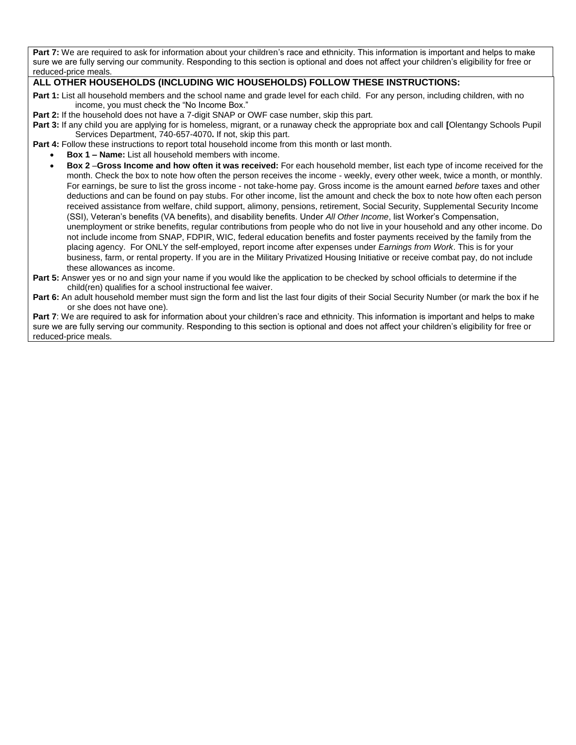Part 7: We are required to ask for information about your children's race and ethnicity. This information is important and helps to make sure we are fully serving our community. Responding to this section is optional and does not affect your children's eligibility for free or reduced-price meals.

### **ALL OTHER HOUSEHOLDS (INCLUDING WIC HOUSEHOLDS) FOLLOW THESE INSTRUCTIONS:**

- **Part 1:** List all household members and the school name and grade level for each child. For any person, including children, with no income, you must check the "No Income Box."
- **Part 2:** If the household does not have a 7-digit SNAP or OWF case number, skip this part.
- **Part 3:** If any child you are applying for is homeless, migrant, or a runaway check the appropriate box and call **[**Olentangy Schools Pupil Services Department, 740-657-4070**.** If not, skip this part.
- **Part 4:** Follow these instructions to report total household income from this month or last month.
	- **Box 1 – Name:** List all household members with income.
	- **Box 2** –**Gross Income and how often it was received:** For each household member, list each type of income received for the month. Check the box to note how often the person receives the income - weekly, every other week, twice a month, or monthly. For earnings, be sure to list the gross income - not take-home pay. Gross income is the amount earned *before* taxes and other deductions and can be found on pay stubs. For other income, list the amount and check the box to note how often each person received assistance from welfare, child support, alimony, pensions, retirement, Social Security, Supplemental Security Income (SSI), Veteran's benefits (VA benefits), and disability benefits. Under *All Other Income*, list Worker's Compensation, unemployment or strike benefits, regular contributions from people who do not live in your household and any other income. Do not include income from SNAP, FDPIR, WIC, federal education benefits and foster payments received by the family from the placing agency. For ONLY the self-employed, report income after expenses under *Earnings from Work*. This is for your business, farm, or rental property. If you are in the Military Privatized Housing Initiative or receive combat pay, do not include these allowances as income.
- **Part 5:** Answer yes or no and sign your name if you would like the application to be checked by school officials to determine if the child(ren) qualifies for a school instructional fee waiver.
- **Part 6:** An adult household member must sign the form and list the last four digits of their Social Security Number (or mark the box if he or she does not have one).

**Part 7**: We are required to ask for information about your children's race and ethnicity. This information is important and helps to make sure we are fully serving our community. Responding to this section is optional and does not affect your children's eligibility for free or reduced-price meals.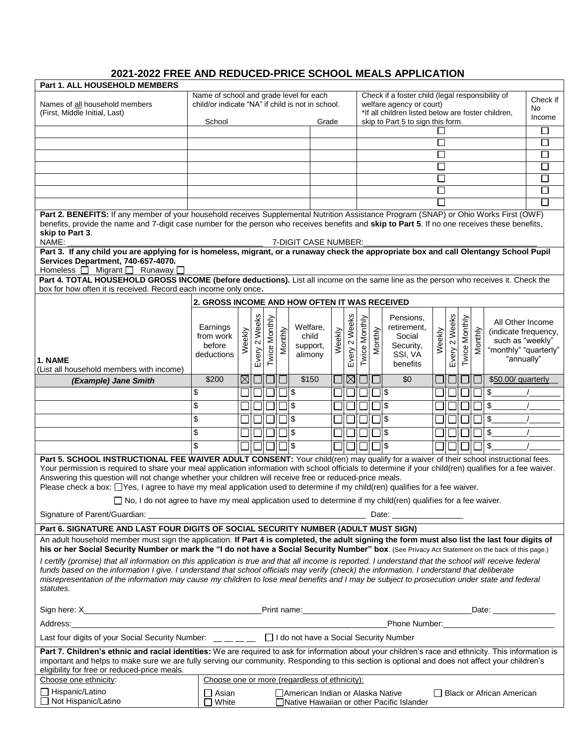### **2021-2022 FREE AND REDUCED-PRICE SCHOOL MEALS APPLICATION**

| Part 1. ALL HOUSEHOLD MEMBERS                                                                                                                                                                                                                                                                                                                                                                                                                                                                                                                                                                                                                                      |                                                                                                                                            |             |                  |               |         |                                                                                                                                    |        |                  |               |         |                                                                        |                             |                  |                    |         |                                                                                                     |          |
|--------------------------------------------------------------------------------------------------------------------------------------------------------------------------------------------------------------------------------------------------------------------------------------------------------------------------------------------------------------------------------------------------------------------------------------------------------------------------------------------------------------------------------------------------------------------------------------------------------------------------------------------------------------------|--------------------------------------------------------------------------------------------------------------------------------------------|-------------|------------------|---------------|---------|------------------------------------------------------------------------------------------------------------------------------------|--------|------------------|---------------|---------|------------------------------------------------------------------------|-----------------------------|------------------|--------------------|---------|-----------------------------------------------------------------------------------------------------|----------|
| Names of all household members<br>(First, Middle Initial, Last)                                                                                                                                                                                                                                                                                                                                                                                                                                                                                                                                                                                                    | Name of school and grade level for each<br>child/or indicate "NA" if child is not in school.                                               |             |                  |               |         | Check if a foster child (legal responsibility of<br>welfare agency or court)<br>*If all children listed below are foster children, |        |                  |               |         |                                                                        |                             | Check if<br>No.  |                    |         |                                                                                                     |          |
|                                                                                                                                                                                                                                                                                                                                                                                                                                                                                                                                                                                                                                                                    | School                                                                                                                                     |             |                  |               |         | Grade                                                                                                                              |        |                  |               |         | skip to Part 5 to sign this form.                                      |                             |                  |                    |         |                                                                                                     | Income   |
|                                                                                                                                                                                                                                                                                                                                                                                                                                                                                                                                                                                                                                                                    |                                                                                                                                            |             |                  |               |         |                                                                                                                                    |        |                  |               |         |                                                                        |                             |                  |                    |         |                                                                                                     | $\sqcup$ |
|                                                                                                                                                                                                                                                                                                                                                                                                                                                                                                                                                                                                                                                                    |                                                                                                                                            |             |                  |               |         |                                                                                                                                    |        |                  |               |         |                                                                        | $\mathbf{I}$                |                  |                    |         |                                                                                                     | $\Box$   |
|                                                                                                                                                                                                                                                                                                                                                                                                                                                                                                                                                                                                                                                                    |                                                                                                                                            |             |                  |               |         |                                                                                                                                    |        |                  |               |         |                                                                        | $\mathbf{I}$                |                  |                    |         |                                                                                                     | П        |
|                                                                                                                                                                                                                                                                                                                                                                                                                                                                                                                                                                                                                                                                    |                                                                                                                                            |             |                  |               |         |                                                                                                                                    |        |                  |               |         |                                                                        | $\mathcal{L}_{\mathcal{A}}$ |                  |                    |         |                                                                                                     | $\Box$   |
|                                                                                                                                                                                                                                                                                                                                                                                                                                                                                                                                                                                                                                                                    | $\mathbf{I}$                                                                                                                               |             |                  |               |         |                                                                                                                                    |        |                  | П             |         |                                                                        |                             |                  |                    |         |                                                                                                     |          |
|                                                                                                                                                                                                                                                                                                                                                                                                                                                                                                                                                                                                                                                                    |                                                                                                                                            |             |                  |               |         |                                                                                                                                    |        |                  |               |         |                                                                        | $\Box$                      |                  |                    |         |                                                                                                     | $\Box$   |
|                                                                                                                                                                                                                                                                                                                                                                                                                                                                                                                                                                                                                                                                    |                                                                                                                                            |             |                  |               |         |                                                                                                                                    |        |                  |               |         |                                                                        |                             |                  |                    |         |                                                                                                     | П        |
| Part 2. BENEFITS: If any member of your household receives Supplemental Nutrition Assistance Program (SNAP) or Ohio Works First (OWF)<br>benefits, provide the name and 7-digit case number for the person who receives benefits and skip to Part 5. If no one receives these benefits,<br>skip to Part 3.<br>NAME:                                                                                                                                                                                                                                                                                                                                                |                                                                                                                                            |             |                  |               |         | 7-DIGIT CASE NUMBER:                                                                                                               |        |                  |               |         |                                                                        |                             |                  |                    |         |                                                                                                     |          |
| Part 3. If any child you are applying for is homeless, migrant, or a runaway check the appropriate box and call Olentangy School Pupil<br>Services Department, 740-657-4070.<br>Homeless $\Box$ Migrant $\Box$ Runaway $\Box$                                                                                                                                                                                                                                                                                                                                                                                                                                      |                                                                                                                                            |             |                  |               |         |                                                                                                                                    |        |                  |               |         |                                                                        |                             |                  |                    |         |                                                                                                     |          |
| Part 4. TOTAL HOUSEHOLD GROSS INCOME (before deductions). List all income on the same line as the person who receives it. Check the<br>box for how often it is received. Record each income only once.                                                                                                                                                                                                                                                                                                                                                                                                                                                             |                                                                                                                                            |             |                  |               |         |                                                                                                                                    |        |                  |               |         |                                                                        |                             |                  |                    |         |                                                                                                     |          |
|                                                                                                                                                                                                                                                                                                                                                                                                                                                                                                                                                                                                                                                                    | 2. GROSS INCOME AND HOW OFTEN IT WAS RECEIVED                                                                                              |             |                  |               |         |                                                                                                                                    |        |                  |               |         |                                                                        |                             |                  |                    |         |                                                                                                     |          |
| 1. NAME                                                                                                                                                                                                                                                                                                                                                                                                                                                                                                                                                                                                                                                            | Earnings<br>from work<br>before<br>deductions                                                                                              | Weekly      | 2 Weeks<br>Every | Twice Monthly | Monthly | Welfare.<br>child<br>support,<br>alimony                                                                                           | Weekly | 2 Weeks<br>Every | Twice Monthly | Monthly | Pensions,<br>retirement,<br>Social<br>Security,<br>SSI, VA<br>benefits | Weekly                      | 2 Weeks<br>Every | Monthly<br>Twice I | Monthly | All Other Income<br>(indicate frequency,<br>such as "weekly"<br>"monthly" "quarterly"<br>"annually" |          |
| (List all household members with income)                                                                                                                                                                                                                                                                                                                                                                                                                                                                                                                                                                                                                           |                                                                                                                                            |             |                  |               |         |                                                                                                                                    |        |                  |               |         |                                                                        |                             |                  |                    |         |                                                                                                     |          |
| (Example) Jane Smith                                                                                                                                                                                                                                                                                                                                                                                                                                                                                                                                                                                                                                               | \$200                                                                                                                                      | $\boxtimes$ |                  |               |         | \$150                                                                                                                              |        |                  | ⊠∣⊡           |         | \$0                                                                    |                             |                  |                    |         | \$50.00/ quarterly                                                                                  |          |
|                                                                                                                                                                                                                                                                                                                                                                                                                                                                                                                                                                                                                                                                    | \$                                                                                                                                         |             |                  |               |         | \$                                                                                                                                 |        |                  |               |         | ่ 1l\$                                                                 |                             |                  |                    |         | \$                                                                                                  |          |
|                                                                                                                                                                                                                                                                                                                                                                                                                                                                                                                                                                                                                                                                    | \$                                                                                                                                         |             |                  |               |         | \$                                                                                                                                 |        |                  |               |         | ¶∃                                                                     |                             |                  |                    |         | \$                                                                                                  |          |
|                                                                                                                                                                                                                                                                                                                                                                                                                                                                                                                                                                                                                                                                    | \$                                                                                                                                         |             |                  |               |         | \$                                                                                                                                 |        |                  |               |         | <u>ا</u>                                                               |                             |                  |                    |         | \$                                                                                                  |          |
|                                                                                                                                                                                                                                                                                                                                                                                                                                                                                                                                                                                                                                                                    | \$                                                                                                                                         |             |                  |               |         | \$                                                                                                                                 |        |                  |               |         | \$                                                                     |                             |                  |                    |         | \$                                                                                                  |          |
|                                                                                                                                                                                                                                                                                                                                                                                                                                                                                                                                                                                                                                                                    | \$                                                                                                                                         |             |                  |               |         | ]∣\$                                                                                                                               |        |                  |               |         | าเร                                                                    |                             |                  |                    |         | \$                                                                                                  |          |
| Part 5. SCHOOL INSTRUCTIONAL FEE WAIVER ADULT CONSENT: Your child(ren) may qualify for a waiver of their school instructional fees.<br>Your permission is required to share your meal application information with school officials to determine if your child(ren) qualifies for a fee waiver.<br>Answering this question will not change whether your children will receive free or reduced-price meals.<br>Please check a box: [Yes, I agree to have my meal application used to determine if my child(ren) qualifies for a fee waiver.<br>$\Box$ No, I do not agree to have my meal application used to determine if my child(ren) qualifies for a fee waiver. |                                                                                                                                            |             |                  |               |         |                                                                                                                                    |        |                  |               |         |                                                                        |                             |                  |                    |         |                                                                                                     |          |
|                                                                                                                                                                                                                                                                                                                                                                                                                                                                                                                                                                                                                                                                    |                                                                                                                                            |             |                  |               |         |                                                                                                                                    |        |                  |               |         |                                                                        |                             |                  |                    |         |                                                                                                     |          |
| Part 6. SIGNATURE AND LAST FOUR DIGITS OF SOCIAL SECURITY NUMBER (ADULT MUST SIGN)                                                                                                                                                                                                                                                                                                                                                                                                                                                                                                                                                                                 |                                                                                                                                            |             |                  |               |         |                                                                                                                                    |        |                  |               |         |                                                                        |                             |                  |                    |         |                                                                                                     |          |
| An adult household member must sign the application. If Part 4 is completed, the adult signing the form must also list the last four digits of<br>his or her Social Security Number or mark the "I do not have a Social Security Number" box. (See Privacy Act Statement on the back of this page.)                                                                                                                                                                                                                                                                                                                                                                |                                                                                                                                            |             |                  |               |         |                                                                                                                                    |        |                  |               |         |                                                                        |                             |                  |                    |         |                                                                                                     |          |
| I certify (promise) that all information on this application is true and that all income is reported. I understand that the school will receive federal<br>funds based on the information I give. I understand that school officials may verify (check) the information. I understand that deliberate<br>misrepresentation of the information may cause my children to lose meal benefits and I may be subject to prosecution under state and federal<br>statutes.                                                                                                                                                                                                 |                                                                                                                                            |             |                  |               |         |                                                                                                                                    |        |                  |               |         |                                                                        |                             |                  |                    |         |                                                                                                     |          |
|                                                                                                                                                                                                                                                                                                                                                                                                                                                                                                                                                                                                                                                                    |                                                                                                                                            |             |                  |               |         |                                                                                                                                    |        |                  |               |         |                                                                        |                             |                  |                    |         | Date: _______________                                                                               |          |
| Address:                                                                                                                                                                                                                                                                                                                                                                                                                                                                                                                                                                                                                                                           |                                                                                                                                            |             |                  |               |         |                                                                                                                                    |        |                  |               |         |                                                                        |                             |                  |                    |         |                                                                                                     |          |
| Phone Number: National Phone Number:<br>Last four digits of your Social Security Number: _ _ _ _ _ _ _ D I do not have a Social Security Number                                                                                                                                                                                                                                                                                                                                                                                                                                                                                                                    |                                                                                                                                            |             |                  |               |         |                                                                                                                                    |        |                  |               |         |                                                                        |                             |                  |                    |         |                                                                                                     |          |
| Part 7. Children's ethnic and racial identities: We are required to ask for information about your children's race and ethnicity. This information is<br>important and helps to make sure we are fully serving our community. Responding to this section is optional and does not affect your children's<br>eligibility for free or reduced-price meals.                                                                                                                                                                                                                                                                                                           |                                                                                                                                            |             |                  |               |         |                                                                                                                                    |        |                  |               |         |                                                                        |                             |                  |                    |         |                                                                                                     |          |
| Choose one ethnicity:<br>Choose one or more (regardless of ethnicity):                                                                                                                                                                                                                                                                                                                                                                                                                                                                                                                                                                                             |                                                                                                                                            |             |                  |               |         |                                                                                                                                    |        |                  |               |         |                                                                        |                             |                  |                    |         |                                                                                                     |          |
| □ Hispanic/Latino<br>□ Not Hispanic/Latino                                                                                                                                                                                                                                                                                                                                                                                                                                                                                                                                                                                                                         | $\Box$ Asian<br>□ American Indian or Alaska Native<br>□ Black or African American<br>ヿ White<br>□Native Hawaiian or other Pacific Islander |             |                  |               |         |                                                                                                                                    |        |                  |               |         |                                                                        |                             |                  |                    |         |                                                                                                     |          |
|                                                                                                                                                                                                                                                                                                                                                                                                                                                                                                                                                                                                                                                                    |                                                                                                                                            |             |                  |               |         |                                                                                                                                    |        |                  |               |         |                                                                        |                             |                  |                    |         |                                                                                                     |          |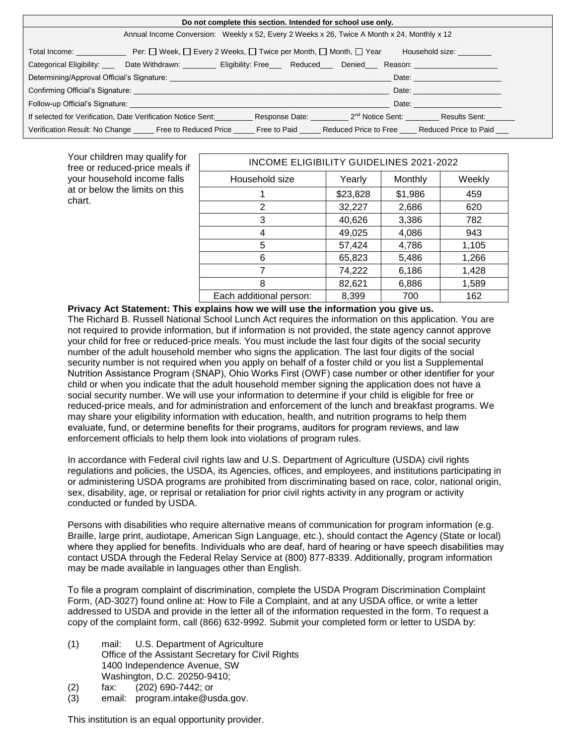| Do not complete this section. Intended for school use only.                                                                                                                                                                                                                                                                 |                                                                                                                                                                                                                                |  |  |  |                                                                                                                                                                                                                                |  |  |  |
|-----------------------------------------------------------------------------------------------------------------------------------------------------------------------------------------------------------------------------------------------------------------------------------------------------------------------------|--------------------------------------------------------------------------------------------------------------------------------------------------------------------------------------------------------------------------------|--|--|--|--------------------------------------------------------------------------------------------------------------------------------------------------------------------------------------------------------------------------------|--|--|--|
| Annual Income Conversion: Weekly x 52, Every 2 Weeks x 26, Twice A Month x 24, Monthly x 12                                                                                                                                                                                                                                 |                                                                                                                                                                                                                                |  |  |  |                                                                                                                                                                                                                                |  |  |  |
| Total Income: ________________________ Per: □ Week, □ Every 2 Weeks, □ Twice per Month, □ Month, □ Year<br>Household size:                                                                                                                                                                                                  |                                                                                                                                                                                                                                |  |  |  |                                                                                                                                                                                                                                |  |  |  |
|                                                                                                                                                                                                                                                                                                                             | Categorical Eligibility: ____ Date Withdrawn: ________ Eligibility: Free___ Reduced___ Denied__ Reason: ____________                                                                                                           |  |  |  |                                                                                                                                                                                                                                |  |  |  |
| Date: the contract of the contract of the contract of the contract of the contract of the contract of the contract of the contract of the contract of the contract of the contract of the contract of the contract of the cont                                                                                              |                                                                                                                                                                                                                                |  |  |  |                                                                                                                                                                                                                                |  |  |  |
| Confirming Official's Signature: <b>Example 2018</b> The Confirming Official's Signature:<br>Date: the contract of the contract of the contract of the contract of the contract of the contract of the contract of the contract of the contract of the contract of the contract of the contract of the contract of the cont |                                                                                                                                                                                                                                |  |  |  |                                                                                                                                                                                                                                |  |  |  |
|                                                                                                                                                                                                                                                                                                                             | Follow-up Official's Signature: The Contract of the Contract of the Contract of The Contract of The Contract of The Contract of The Contract of The Contract of The Contract of The Contract of The Contract of The Contract o |  |  |  | Date: the contract of the contract of the contract of the contract of the contract of the contract of the contract of the contract of the contract of the contract of the contract of the contract of the contract of the cont |  |  |  |
|                                                                                                                                                                                                                                                                                                                             | If selected for Verification, Date Verification Notice Sent:                                                                                                                                                                   |  |  |  | Response Date: 2 <sup>nd</sup> Notice Sent: Results Sent:                                                                                                                                                                      |  |  |  |
|                                                                                                                                                                                                                                                                                                                             | Verification Result: No Change Free to Reduced Price Free to Paid Reduced Price to Free Reduced Price to Paid                                                                                                                  |  |  |  |                                                                                                                                                                                                                                |  |  |  |

Your children may qualify for free or reduced-price meals if your household income falls at or below the limits on this chart.

| INCOME ELIGIBILITY GUIDELINES 2021-2022 |          |         |        |  |  |  |  |  |
|-----------------------------------------|----------|---------|--------|--|--|--|--|--|
| Household size                          | Yearly   | Monthly | Weekly |  |  |  |  |  |
|                                         | \$23,828 | \$1,986 | 459    |  |  |  |  |  |
| 2                                       | 32,227   | 2,686   | 620    |  |  |  |  |  |
| 3                                       | 40,626   | 3,386   | 782    |  |  |  |  |  |
| 4                                       | 49,025   | 4,086   | 943    |  |  |  |  |  |
| 5                                       | 57,424   | 4,786   | 1,105  |  |  |  |  |  |
| 6                                       | 65,823   | 5,486   | 1,266  |  |  |  |  |  |
| 7                                       | 74,222   | 6,186   | 1,428  |  |  |  |  |  |
| 8                                       | 82,621   | 6,886   | 1,589  |  |  |  |  |  |
| Each additional person:                 | 8,399    | 700     | 162    |  |  |  |  |  |

**Privacy Act Statement: This explains how we will use the information you give us.** The Richard B. Russell National School Lunch Act requires the information on this application. You are not required to provide information, but if information is not provided, the state agency cannot approve your child for free or reduced-price meals. You must include the last four digits of the social security number of the adult household member who signs the application. The last four digits of the social security number is not required when you apply on behalf of a foster child or you list a Supplemental Nutrition Assistance Program (SNAP), Ohio Works First (OWF) case number or other identifier for your child or when you indicate that the adult household member signing the application does not have a social security number. We will use your information to determine if your child is eligible for free or reduced-price meals, and for administration and enforcement of the lunch and breakfast programs. We may share your eligibility information with education, health, and nutrition programs to help them evaluate, fund, or determine benefits for their programs, auditors for program reviews, and law enforcement officials to help them look into violations of program rules.

In accordance with Federal civil rights law and U.S. Department of Agriculture (USDA) civil rights regulations and policies, the USDA, its Agencies, offices, and employees, and institutions participating in or administering USDA programs are prohibited from discriminating based on race, color, national origin, sex, disability, age, or reprisal or retaliation for prior civil rights activity in any program or activity conducted or funded by USDA.

Persons with disabilities who require alternative means of communication for program information (e.g. Braille, large print, audiotape, American Sign Language, etc.), should contact the Agency (State or local) where they applied for benefits. Individuals who are deaf, hard of hearing or have speech disabilities may contact USDA through the Federal Relay Service at (800) 877-8339. Additionally, program information may be made available in languages other than English.

To file a program complaint of discrimination, complete the [USDA Program Discrimination Complaint](http://www.ocio.usda.gov/sites/default/files/docs/2012/Complain_combined_6_8_12.pdf)  [Form,](http://www.ocio.usda.gov/sites/default/files/docs/2012/Complain_combined_6_8_12.pdf) (AD-3027) found online at: [How to File a Complaint,](http://www.ascr.usda.gov/complaint_filing_cust.html) and at any USDA office, or write a letter addressed to USDA and provide in the letter all of the information requested in the form. To request a copy of the complaint form, call (866) 632-9992. Submit your completed form or letter to USDA by:

- (1) mail: U.S. Department of Agriculture Office of the Assistant Secretary for Civil Rights 1400 Independence Avenue, SW Washington, D.C. 20250-9410;
- (2) fax: (202) 690-7442; or
- (3) email: [program.intake@usda.gov.](http://sharepoint/daqs/csseo/ocn/Communications/Internal%20Review/CRRS%20SNP%20Download%20Forms/program.intake@usda.gov)

This institution is an equal opportunity provider.